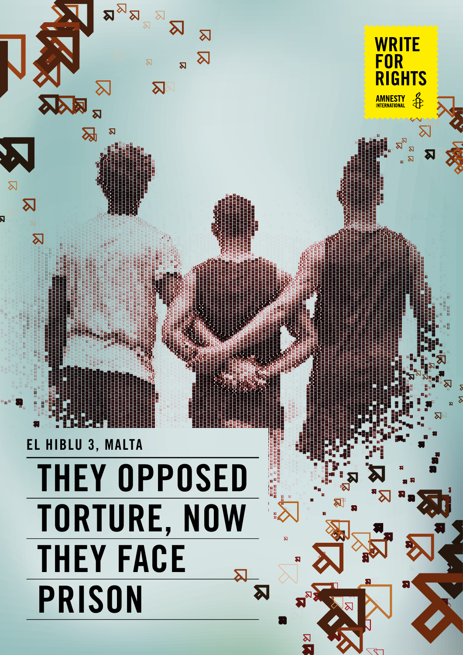